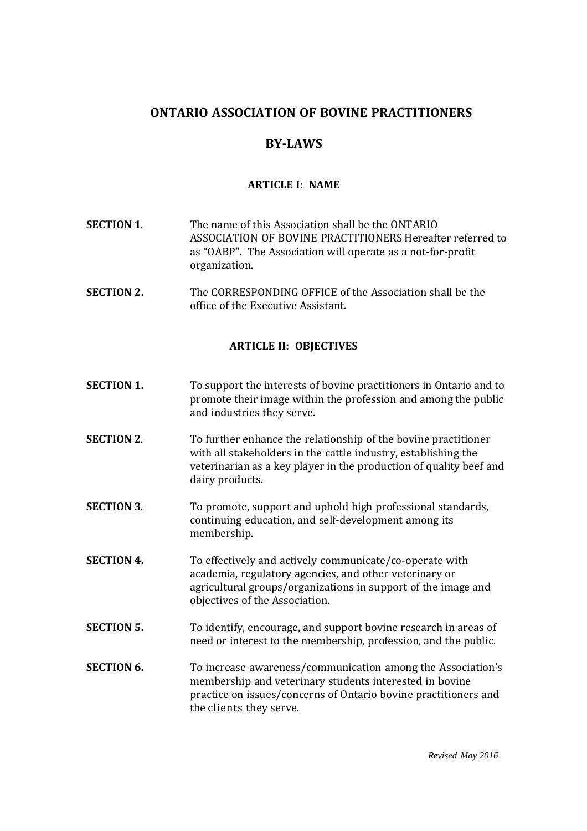# **ONTARIO ASSOCIATION OF BOVINE PRACTITIONERS**

# **BY-LAWS**

# **ARTICLE I: NAME**

- **SECTION 1**. The name of this Association shall be the ONTARIO ASSOCIATION OF BOVINE PRACTITIONERS Hereafter referred to as "OABP". The Association will operate as a not-for-profit organization.
- **SECTION 2.** The CORRESPONDING OFFICE of the Association shall be the office of the Executive Assistant.

# **ARTICLE II: OBJECTIVES**

- **SECTION 1.** To support the interests of bovine practitioners in Ontario and to promote their image within the profession and among the public and industries they serve.
- **SECTION 2.** To further enhance the relationship of the bovine practitioner with all stakeholders in the cattle industry, establishing the veterinarian as a key player in the production of quality beef and dairy products.
- **SECTION** 3. To promote, support and uphold high professional standards, continuing education, and self-development among its membership.
- **SECTION 4.** To effectively and actively communicate/co-operate with academia, regulatory agencies, and other veterinary or agricultural groups/organizations in support of the image and objectives of the Association.
- **SECTION 5.** To identify, encourage, and support bovine research in areas of need or interest to the membership, profession, and the public.
- **SECTION 6.** To increase awareness/communication among the Association's membership and veterinary students interested in bovine practice on issues/concerns of Ontario bovine practitioners and the clients they serve.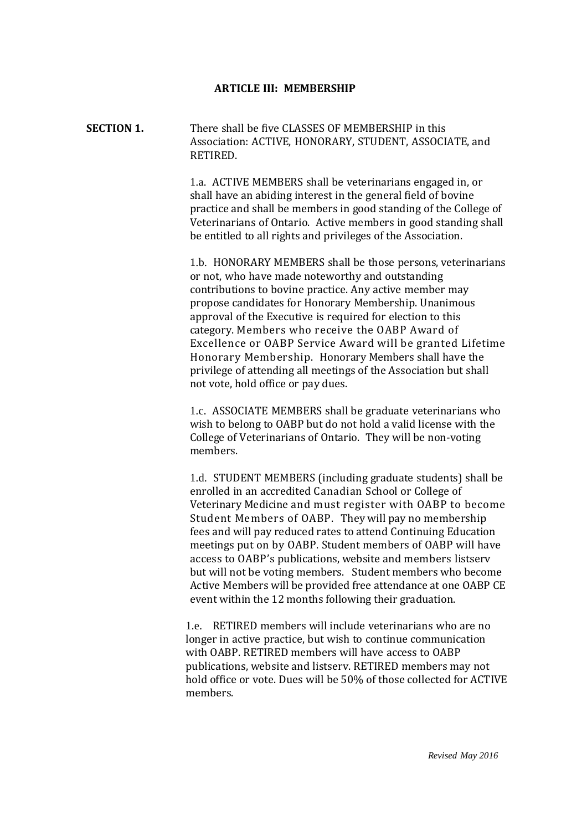#### **ARTICLE III: MEMBERSHIP**

**SECTION 1.** There shall be five CLASSES OF MEMBERSHIP in this Association: ACTIVE, HONORARY, STUDENT, ASSOCIATE, and RETIRED.

> 1.a. ACTIVE MEMBERS shall be veterinarians engaged in, or shall have an abiding interest in the general field of bovine practice and shall be members in good standing of the College of Veterinarians of Ontario. Active members in good standing shall be entitled to all rights and privileges of the Association.

1.b. HONORARY MEMBERS shall be those persons, veterinarians or not, who have made noteworthy and outstanding contributions to bovine practice. Any active member may propose candidates for Honorary Membership. Unanimous approval of the Executive is required for election to this category. Members who receive the OABP Award of Excellence or OABP Service Award will be granted Lifetime Honorary Membership. Honorary Members shall have the privilege of attending all meetings of the Association but shall not vote, hold office or pay dues.

1.c. ASSOCIATE MEMBERS shall be graduate veterinarians who wish to belong to OABP but do not hold a valid license with the College of Veterinarians of Ontario. They will be non-voting members.

1.d. STUDENT MEMBERS (including graduate students) shall be enrolled in an accredited Canadian School or College of Veterinary Medicine and must register with OABP to become Student Members of OABP. They will pay no membership fees and will pay reduced rates to attend Continuing Education meetings put on by OABP. Student members of OABP will have access to OABP's publications, website and members listserv but will not be voting members. Student members who become Active Members will be provided free attendance at one OABP CE event within the 12 months following their graduation.

1.e. RETIRED members will include veterinarians who are no longer in active practice, but wish to continue communication with OABP. RETIRED members will have access to OABP publications, website and listserv. RETIRED members may not hold office or vote. Dues will be 50% of those collected for ACTIVE members.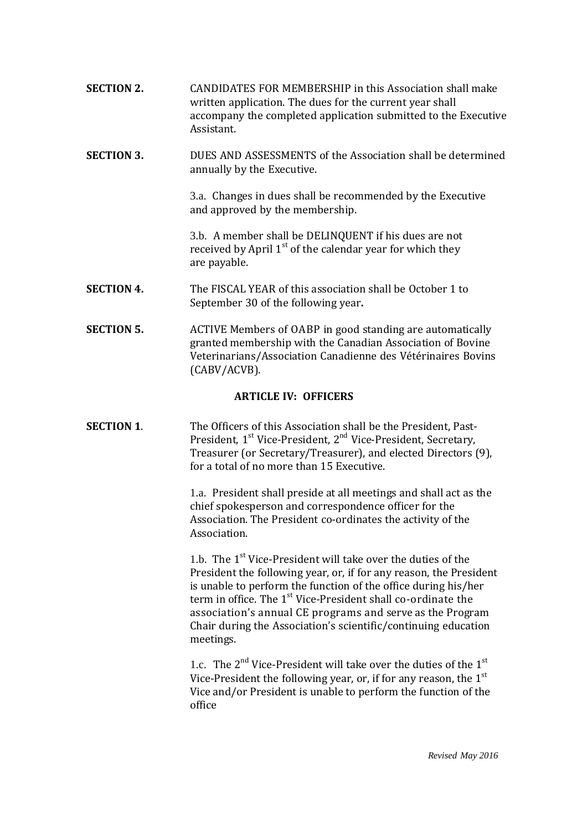**SECTION 2.** CANDIDATES FOR MEMBERSHIP in this Association shall make written application. The dues for the current year shall accompany the completed application submitted to the Executive Assistant. **SECTION 3.** DUES AND ASSESSMENTS of the Association shall be determined annually by the Executive. 3.a. Changes in dues shall be recommended by the Executive and approved by the membership. 3.b. A member shall be DELINQUENT if his dues are not received by April 1<sup>st</sup> of the calendar year for which they are payable. **SECTION 4.** The FISCAL YEAR of this association shall be October 1 to September 30 of the following year**. SECTION 5.** ACTIVE Members of OABP in good standing are automatically granted membership with the Canadian Association of Bovine Veterinarians/Association Canadienne des Vétérinaires Bovins

# **ARTICLE IV: OFFICERS**

(CABV/ACVB).

**SECTION 1.** The Officers of this Association shall be the President, Past-President, 1<sup>st</sup> Vice-President, 2<sup>nd</sup> Vice-President, Secretary, Treasurer (or Secretary/Treasurer), and elected Directors (9), for a total of no more than 15 Executive.

> 1.a. President shall preside at all meetings and shall act as the chief spokesperson and correspondence officer for the Association. The President co-ordinates the activity of the Association.

1.b. The 1<sup>st</sup> Vice-President will take over the duties of the President the following year, or, if for any reason, the President is unable to perform the function of the office during his/her term in office. The 1<sup>st</sup> Vice-President shall co-ordinate the association's annual CE programs and serve as the Program Chair during the Association's scientific/continuing education meetings.

1.c. The  $2^{nd}$  Vice-President will take over the duties of the  $1^{st}$ Vice-President the following year, or, if for any reason, the  $1<sup>st</sup>$ Vice and/or President is unable to perform the function of the office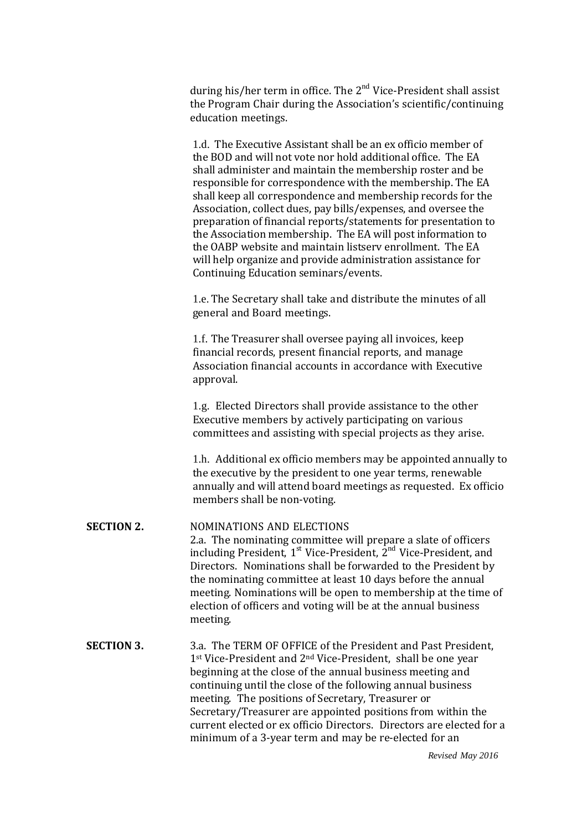during his/her term in office. The 2<sup>nd</sup> Vice-President shall assist the Program Chair during the Association's scientific/continuing education meetings.

1.d. The Executive Assistant shall be an ex officio member of the BOD and will not vote nor hold additional office. The EA shall administer and maintain the membership roster and be responsible for correspondence with the membership. The EA shall keep all correspondence and membership records for the Association, collect dues, pay bills/expenses, and oversee the preparation of financial reports/statements for presentation to the Association membership. The EA will post information to the OABP website and maintain listserv enrollment. The EA will help organize and provide administration assistance for Continuing Education seminars/events.

1.e. The Secretary shall take and distribute the minutes of all general and Board meetings.

1.f. The Treasurer shall oversee paying all invoices, keep financial records, present financial reports, and manage Association financial accounts in accordance with Executive approval.

1.g. Elected Directors shall provide assistance to the other Executive members by actively participating on various committees and assisting with special projects as they arise.

1.h. Additional ex officio members may be appointed annually to the executive by the president to one year terms, renewable annually and will attend board meetings as requested. Ex officio members shall be non-voting.

# **SECTION 2.** NOMINATIONS AND ELECTIONS 2.a. The nominating committee will prepare a slate of officers including President, 1<sup>st</sup> Vice-President, 2<sup>nd</sup> Vice-President, and Directors. Nominations shall be forwarded to the President by the nominating committee at least 10 days before the annual meeting. Nominations will be open to membership at the time of election of officers and voting will be at the annual business meeting.

**SECTION 3.** 3.a. The TERM OF OFFICE of the President and Past President, 1<sup>st</sup> Vice-President and 2<sup>nd</sup> Vice-President, shall be one year beginning at the close of the annual business meeting and continuing until the close of the following annual business meeting. The positions of Secretary, Treasurer or Secretary/Treasurer are appointed positions from within the current elected or ex officio Directors. Directors are elected for a minimum of a 3-year term and may be re-elected for an

 *Revised May 2016*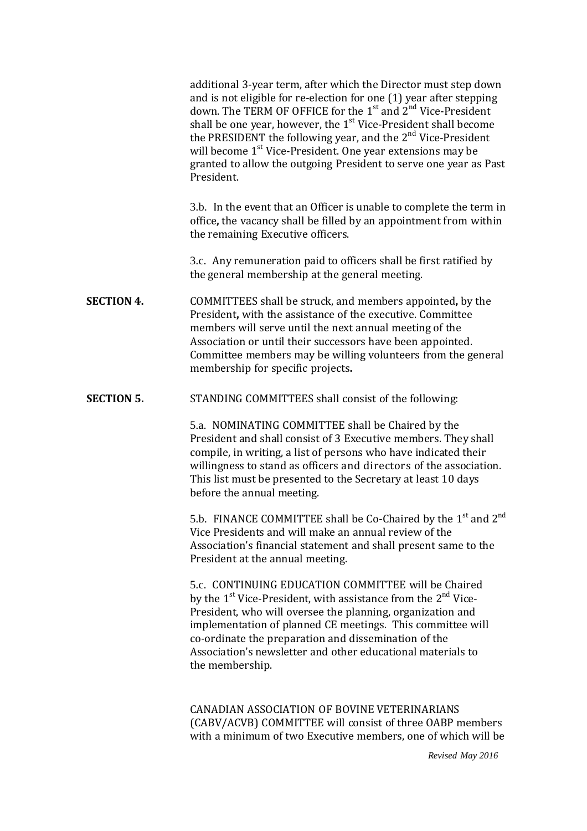additional 3-year term, after which the Director must step down and is not eligible for re-election for one (1) year after stepping down. The TERM OF OFFICE for the 1<sup>st</sup> and 2<sup>nd</sup> Vice-President shall be one year, however, the 1<sup>st</sup> Vice-President shall become the PRESIDENT the following year, and the 2<sup>nd</sup> Vice-President will become 1<sup>st</sup> Vice-President. One year extensions may be granted to allow the outgoing President to serve one year as Past President.

3.b. In the event that an Officer is unable to complete the term in office**,** the vacancy shall be filled by an appointment from within the remaining Executive officers.

3.c. Any remuneration paid to officers shall be first ratified by the general membership at the general meeting.

- **SECTION 4.** COMMITTEES shall be struck, and members appointed**,** by the President**,** with the assistance of the executive. Committee members will serve until the next annual meeting of the Association or until their successors have been appointed. Committee members may be willing volunteers from the general membership for specific projects**.**
- **SECTION 5.** STANDING COMMITTEES shall consist of the following:

5.a. NOMINATING COMMITTEE shall be Chaired by the President and shall consist of 3 Executive members. They shall compile, in writing, a list of persons who have indicated their willingness to stand as officers and directors of the association. This list must be presented to the Secretary at least 10 days before the annual meeting.

5.b. FINANCE COMMITTEE shall be Co-Chaired by the  $1<sup>st</sup>$  and  $2<sup>nd</sup>$ Vice Presidents and will make an annual review of the Association's financial statement and shall present same to the President at the annual meeting.

5.c. CONTINUING EDUCATION COMMITTEE will be Chaired by the 1<sup>st</sup> Vice-President, with assistance from the 2<sup>nd</sup> Vice-President, who will oversee the planning, organization and implementation of planned CE meetings. This committee will co-ordinate the preparation and dissemination of the Association's newsletter and other educational materials to the membership.

CANADIAN ASSOCIATION OF BOVINE VETERINARIANS (CABV/ACVB) COMMITTEE will consist of three OABP members with a minimum of two Executive members, one of which will be

 *Revised May 2016*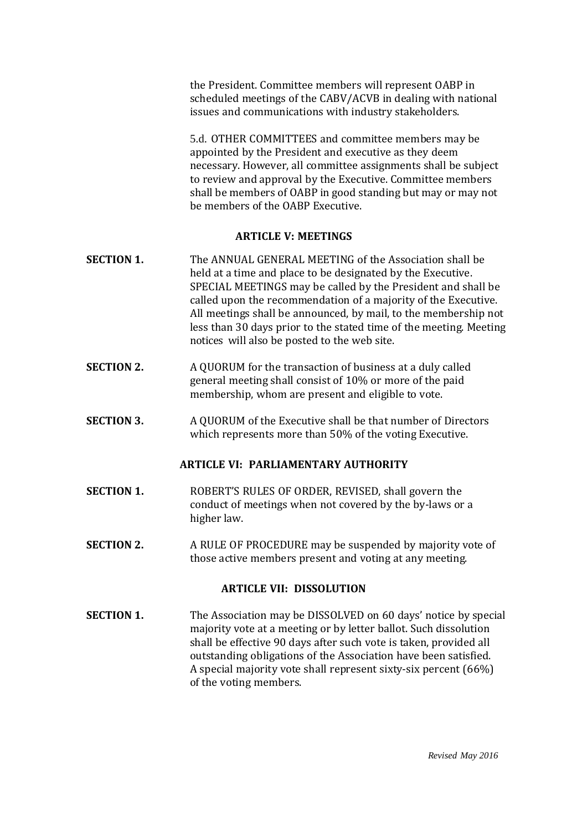the President. Committee members will represent OABP in scheduled meetings of the CABV/ACVB in dealing with national issues and communications with industry stakeholders.

5.d. OTHER COMMITTEES and committee members may be appointed by the President and executive as they deem necessary. However, all committee assignments shall be subject to review and approval by the Executive. Committee members shall be members of OABP in good standing but may or may not be members of the OABP Executive.

#### **ARTICLE V: MEETINGS**

- **SECTION 1.** The ANNUAL GENERAL MEETING of the Association shall be held at a time and place to be designated by the Executive. SPECIAL MEETINGS may be called by the President and shall be called upon the recommendation of a majority of the Executive. All meetings shall be announced, by mail, to the membership not less than 30 days prior to the stated time of the meeting. Meeting notices will also be posted to the web site.
- **SECTION 2.** A QUORUM for the transaction of business at a duly called general meeting shall consist of 10% or more of the paid membership, whom are present and eligible to vote.
- **SECTION 3.** A QUORUM of the Executive shall be that number of Directors which represents more than 50% of the voting Executive.

# **ARTICLE VI: PARLIAMENTARY AUTHORITY**

- **SECTION 1.** ROBERT'S RULES OF ORDER, REVISED, shall govern the conduct of meetings when not covered by the by-laws or a higher law.
- **SECTION 2.** A RULE OF PROCEDURE may be suspended by majority vote of those active members present and voting at any meeting.

## **ARTICLE VII: DISSOLUTION**

**SECTION 1.** The Association may be DISSOLVED on 60 days' notice by special majority vote at a meeting or by letter ballot. Such dissolution shall be effective 90 days after such vote is taken, provided all outstanding obligations of the Association have been satisfied. A special majority vote shall represent sixty-six percent (66%) of the voting members.